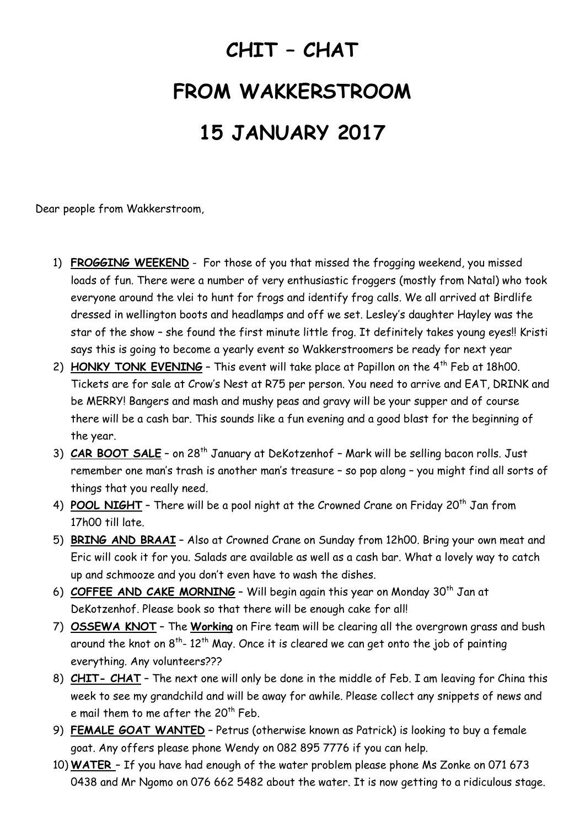## **CHIT – CHAT FROM WAKKERSTROOM 15 JANUARY 2017**

Dear people from Wakkerstroom,

- 1) **FROGGING WEEKEND** For those of you that missed the frogging weekend, you missed loads of fun. There were a number of very enthusiastic froggers (mostly from Natal) who took everyone around the vlei to hunt for frogs and identify frog calls. We all arrived at Birdlife dressed in wellington boots and headlamps and off we set. Lesley's daughter Hayley was the star of the show – she found the first minute little frog. It definitely takes young eyes!! Kristi says this is going to become a yearly event so Wakkerstroomers be ready for next year
- 2) **HONKY TONK EVENING** This event will take place at Papillon on the 4<sup>th</sup> Feb at 18h00. Tickets are for sale at Crow's Nest at R75 per person. You need to arrive and EAT, DRINK and be MERRY! Bangers and mash and mushy peas and gravy will be your supper and of course there will be a cash bar. This sounds like a fun evening and a good blast for the beginning of the year.
- 3) **CAR BOOT SALE** on 28<sup>th</sup> January at DeKotzenhof Mark will be selling bacon rolls. Just remember one man's trash is another man's treasure – so pop along – you might find all sorts of things that you really need.
- 4) **POOL NIGHT** There will be a pool night at the Crowned Crane on Friday 20<sup>th</sup> Jan from 17h00 till late.
- 5) **BRING AND BRAAI** Also at Crowned Crane on Sunday from 12h00. Bring your own meat and Eric will cook it for you. Salads are available as well as a cash bar. What a lovely way to catch up and schmooze and you don't even have to wash the dishes.
- 6) **COFFEE AND CAKE MORNING** Will begin again this year on Monday 30<sup>th</sup> Jan at DeKotzenhof. Please book so that there will be enough cake for all!
- 7) **OSSEWA KNOT** The **Working** on Fire team will be clearing all the overgrown grass and bush around the knot on  $8^{th}$ -  $12^{th}$  May. Once it is cleared we can get onto the job of painting everything. Any volunteers???
- 8) **CHIT- CHAT** The next one will only be done in the middle of Feb. I am leaving for China this week to see my grandchild and will be away for awhile. Please collect any snippets of news and e mail them to me after the  $20^{th}$  Feb.
- 9) **FEMALE GOAT WANTED** Petrus (otherwise known as Patrick) is looking to buy a female goat. Any offers please phone Wendy on 082 895 7776 if you can help.
- 10) **WATER**  If you have had enough of the water problem please phone Ms Zonke on 071 673 0438 and Mr Ngomo on 076 662 5482 about the water. It is now getting to a ridiculous stage.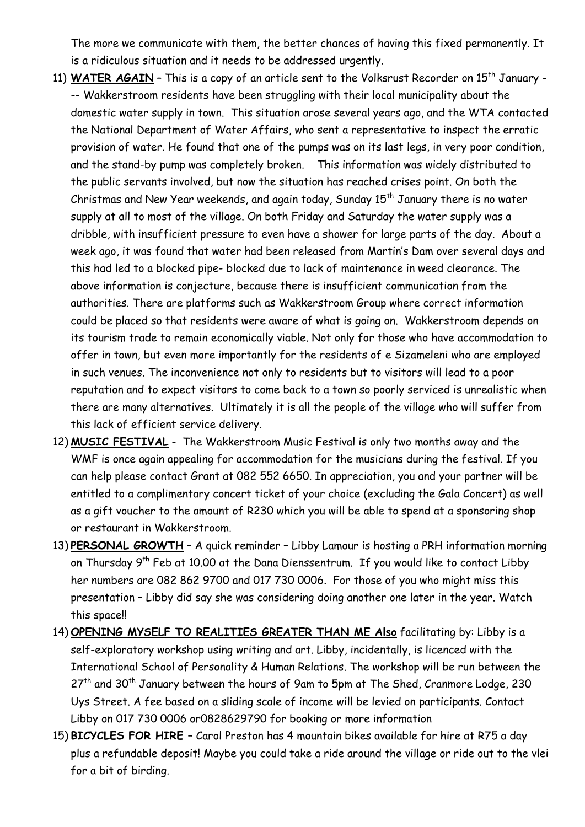The more we communicate with them, the better chances of having this fixed permanently. It is a ridiculous situation and it needs to be addressed urgently.

- 11) WATER AGAIN This is a copy of an article sent to the Volksrust Recorder on 15<sup>th</sup> January --- Wakkerstroom residents have been struggling with their local municipality about the domestic water supply in town. This situation arose several years ago, and the WTA contacted the National Department of Water Affairs, who sent a representative to inspect the erratic provision of water. He found that one of the pumps was on its last legs, in very poor condition, and the stand-by pump was completely broken. This information was widely distributed to the public servants involved, but now the situation has reached crises point. On both the Christmas and New Year weekends, and again today, Sunday  $15<sup>th</sup>$  January there is no water supply at all to most of the village. On both Friday and Saturday the water supply was a dribble, with insufficient pressure to even have a shower for large parts of the day. About a week ago, it was found that water had been released from Martin's Dam over several days and this had led to a blocked pipe- blocked due to lack of maintenance in weed clearance. The above information is conjecture, because there is insufficient communication from the authorities. There are platforms such as Wakkerstroom Group where correct information could be placed so that residents were aware of what is going on. Wakkerstroom depends on its tourism trade to remain economically viable. Not only for those who have accommodation to offer in town, but even more importantly for the residents of e Sizameleni who are employed in such venues. The inconvenience not only to residents but to visitors will lead to a poor reputation and to expect visitors to come back to a town so poorly serviced is unrealistic when there are many alternatives. Ultimately it is all the people of the village who will suffer from this lack of efficient service delivery.
- 12) **MUSIC FESTIVAL** The Wakkerstroom Music Festival is only two months away and the WMF is once again appealing for accommodation for the musicians during the festival. If you can help please contact Grant at 082 552 6650. In appreciation, you and your partner will be entitled to a complimentary concert ticket of your choice (excluding the Gala Concert) as well as a gift voucher to the amount of R230 which you will be able to spend at a sponsoring shop or restaurant in Wakkerstroom.
- 13) **PERSONAL GROWTH** A quick reminder Libby Lamour is hosting a PRH information morning on Thursday 9<sup>th</sup> Feb at 10.00 at the Dana Dienssentrum. If you would like to contact Libby her numbers are 082 862 9700 and 017 730 0006. For those of you who might miss this presentation – Libby did say she was considering doing another one later in the year. Watch this space!!
- 14) **OPENING MYSELF TO REALITIES GREATER THAN ME Also** facilitating by: Libby is a self-exploratory workshop using writing and art. Libby, incidentally, is licenced with the International School of Personality & Human Relations. The workshop will be run between the 27<sup>th</sup> and 30<sup>th</sup> January between the hours of 9am to 5pm at The Shed, Cranmore Lodge, 230 Uys Street. A fee based on a sliding scale of income will be levied on participants. Contact Libby on 017 730 0006 or0828629790 for booking or more information
- 15) **BICYCLES FOR HIRE**  Carol Preston has 4 mountain bikes available for hire at R75 a day plus a refundable deposit! Maybe you could take a ride around the village or ride out to the vlei for a bit of birding.